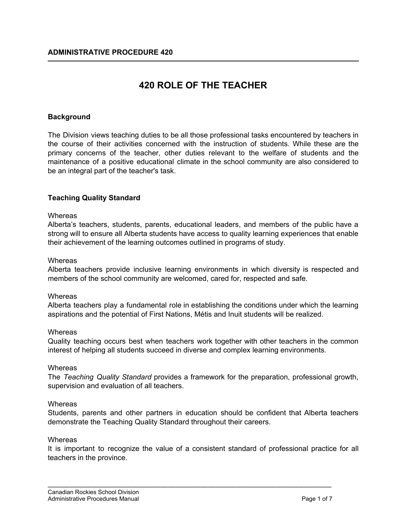# **420 ROLE OF THE TEACHER**

# **Background**

The Division views teaching duties to be all those professional tasks encountered by teachers in the course of their activities concerned with the instruction of students. While these are the primary concerns of the teacher, other duties relevant to the welfare of students and the maintenance of a positive educational climate in the school community are also considered to be an integral part of the teacher's task.

## **Teaching Quality Standard**

## **Whereas**

Alberta's teachers, students, parents, educational leaders, and members of the public have a strong will to ensure all Alberta students have access to quality learning experiences that enable their achievement of the learning outcomes outlined in programs of study.

#### **Whereas**

Alberta teachers provide inclusive learning environments in which diversity is respected and members of the school community are welcomed, cared for, respected and safe.

#### **Whereas**

Alberta teachers play a fundamental role in establishing the conditions under which the learning aspirations and the potential of First Nations, Métis and Inuit students will be realized.

## **Whereas**

Quality teaching occurs best when teachers work together with other teachers in the common interest of helping all students succeed in diverse and complex learning environments.

## **Whereas**

The *Teaching Quality Standard* provides a framework for the preparation, professional growth, supervision and evaluation of all teachers.

## **Whereas**

Students, parents and other partners in education should be confident that Alberta teachers demonstrate the Teaching Quality Standard throughout their careers.

#### **Whereas**

It is important to recognize the value of a consistent standard of professional practice for all teachers in the province.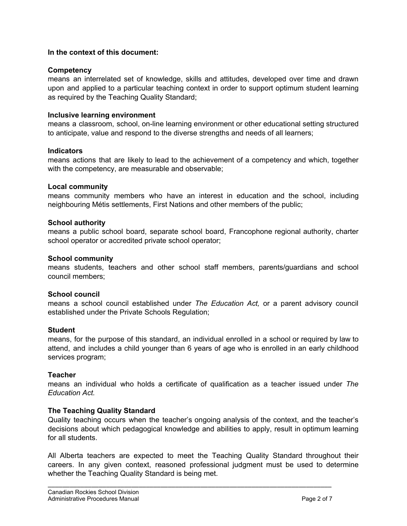## **In the context of this document:**

## **Competency**

means an interrelated set of knowledge, skills and attitudes, developed over time and drawn upon and applied to a particular teaching context in order to support optimum student learning as required by the Teaching Quality Standard;

## **Inclusive learning environment**

means a classroom, school, on-line learning environment or other educational setting structured to anticipate, value and respond to the diverse strengths and needs of all learners;

## **Indicators**

means actions that are likely to lead to the achievement of a competency and which, together with the competency, are measurable and observable;

## **Local community**

means community members who have an interest in education and the school, including neighbouring Métis settlements, First Nations and other members of the public;

## **School authority**

means a public school board, separate school board, Francophone regional authority, charter school operator or accredited private school operator;

## **School community**

means students, teachers and other school staff members, parents/guardians and school council members;

## **School council**

means a school council established under *The Education Act,* or a parent advisory council established under the Private Schools Regulation;

## **Student**

means, for the purpose of this standard, an individual enrolled in a school or required by law to attend, and includes a child younger than 6 years of age who is enrolled in an early childhood services program;

## **Teacher**

means an individual who holds a certificate of qualification as a teacher issued under *The Education Act.*

## **The Teaching Quality Standard**

Quality teaching occurs when the teacher's ongoing analysis of the context, and the teacher's decisions about which pedagogical knowledge and abilities to apply, result in optimum learning for all students.

All Alberta teachers are expected to meet the Teaching Quality Standard throughout their careers. In any given context, reasoned professional judgment must be used to determine whether the Teaching Quality Standard is being met.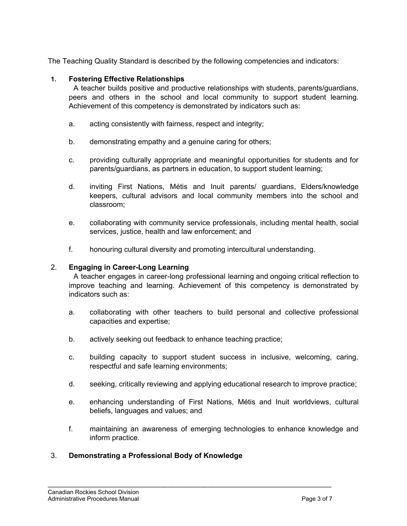The Teaching Quality Standard is described by the following competencies and indicators:

# **1. Fostering Effective Relationships**

A teacher builds positive and productive relationships with students, parents/guardians, peers and others in the school and local community to support student learning. Achievement of this competency is demonstrated by indicators such as:

- a. acting consistently with fairness, respect and integrity;
- b. demonstrating empathy and a genuine caring for others;
- c. providing culturally appropriate and meaningful opportunities for students and for parents/guardians, as partners in education, to support student learning;
- d. inviting First Nations, Métis and Inuit parents/ guardians, Elders/knowledge keepers, cultural advisors and local community members into the school and classroom;
- e. collaborating with community service professionals, including mental health, social services, justice, health and law enforcement; and
- f. honouring cultural diversity and promoting intercultural understanding.

# 2. **Engaging in Career-Long Learning**

A teacher engages in career-long professional learning and ongoing critical reflection to improve teaching and learning. Achievement of this competency is demonstrated by indicators such as:

- a. collaborating with other teachers to build personal and collective professional capacities and expertise;
- b. actively seeking out feedback to enhance teaching practice;
- c. building capacity to support student success in inclusive, welcoming, caring, respectful and safe learning environments;
- d. seeking, critically reviewing and applying educational research to improve practice;
- e. enhancing understanding of First Nations, Métis and Inuit worldviews, cultural beliefs, languages and values; and
- f. maintaining an awareness of emerging technologies to enhance knowledge and inform practice.

\_\_\_\_\_\_\_\_\_\_\_\_\_\_\_\_\_\_\_\_\_\_\_\_\_\_\_\_\_\_\_\_\_\_\_\_\_\_\_\_\_\_\_\_\_\_\_\_\_\_\_\_\_\_\_\_\_\_\_\_\_\_\_\_\_\_\_\_\_\_\_\_\_\_\_\_\_\_

# 3. **Demonstrating a Professional Body of Knowledge**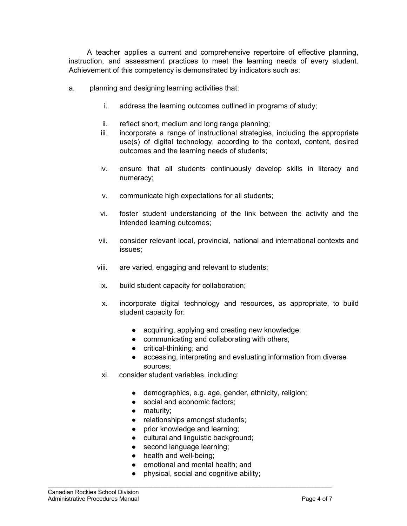A teacher applies a current and comprehensive repertoire of effective planning, instruction, and assessment practices to meet the learning needs of every student. Achievement of this competency is demonstrated by indicators such as:

- a. planning and designing learning activities that:
	- i. address the learning outcomes outlined in programs of study;
	- ii. reflect short, medium and long range planning;
	- iii. incorporate a range of instructional strategies, including the appropriate use(s) of digital technology, according to the context, content, desired outcomes and the learning needs of students;
	- iv. ensure that all students continuously develop skills in literacy and numeracy;
	- v. communicate high expectations for all students;
	- vi. foster student understanding of the link between the activity and the intended learning outcomes;
	- vii. consider relevant local, provincial, national and international contexts and issues;
	- viii. are varied, engaging and relevant to students;
	- ix. build student capacity for collaboration;
	- x. incorporate digital technology and resources, as appropriate, to build student capacity for:
		- acquiring, applying and creating new knowledge;
		- communicating and collaborating with others,
		- critical-thinking; and
		- accessing, interpreting and evaluating information from diverse sources;
	- xi. consider student variables, including:
		- demographics, e.g. age, gender, ethnicity, religion;
		- social and economic factors;
		- maturity;
		- relationships amongst students;
		- prior knowledge and learning;
		- cultural and linguistic background;
		- second language learning;
		- health and well-being;
		- emotional and mental health; and

\_\_\_\_\_\_\_\_\_\_\_\_\_\_\_\_\_\_\_\_\_\_\_\_\_\_\_\_\_\_\_\_\_\_\_\_\_\_\_\_\_\_\_\_\_\_\_\_\_\_\_\_\_\_\_\_\_\_\_\_\_\_\_\_\_\_\_\_\_\_\_\_\_\_\_\_\_\_

● physical, social and cognitive ability;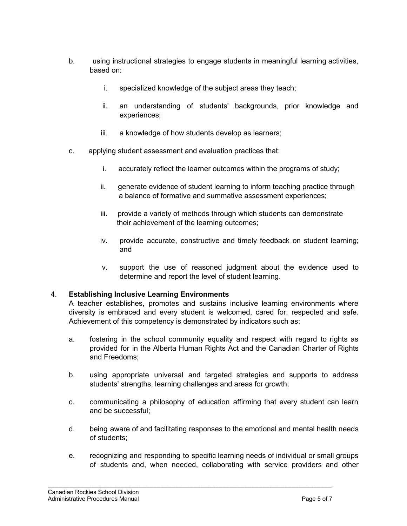- b. using instructional strategies to engage students in meaningful learning activities, based on:
	- i. specialized knowledge of the subject areas they teach;
	- ii. an understanding of students' backgrounds, prior knowledge and experiences;
	- iii. a knowledge of how students develop as learners;
- c. applying student assessment and evaluation practices that:
	- i. accurately reflect the learner outcomes within the programs of study;
	- ii. generate evidence of student learning to inform teaching practice through a balance of formative and summative assessment experiences;
	- iii. provide a variety of methods through which students can demonstrate their achievement of the learning outcomes;
	- iv. provide accurate, constructive and timely feedback on student learning; and
	- v. support the use of reasoned judgment about the evidence used to determine and report the level of student learning.

# 4. **Establishing Inclusive Learning Environments**

A teacher establishes, promotes and sustains inclusive learning environments where diversity is embraced and every student is welcomed, cared for, respected and safe. Achievement of this competency is demonstrated by indicators such as:

- a. fostering in the school community equality and respect with regard to rights as provided for in the Alberta Human Rights Act and the Canadian Charter of Rights and Freedoms;
- b. using appropriate universal and targeted strategies and supports to address students' strengths, learning challenges and areas for growth;
- c. communicating a philosophy of education affirming that every student can learn and be successful;
- d. being aware of and facilitating responses to the emotional and mental health needs of students;
- e. recognizing and responding to specific learning needs of individual or small groups of students and, when needed, collaborating with service providers and other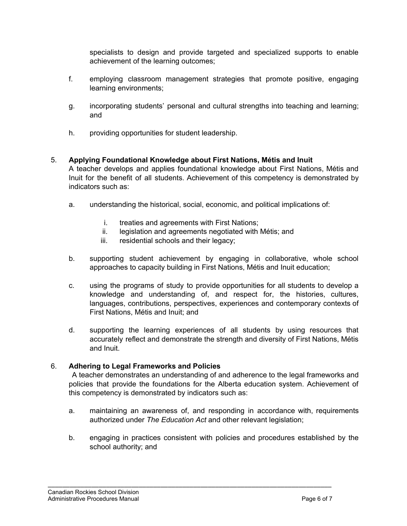specialists to design and provide targeted and specialized supports to enable achievement of the learning outcomes;

- f. employing classroom management strategies that promote positive, engaging learning environments;
- g. incorporating students' personal and cultural strengths into teaching and learning; and
- h. providing opportunities for student leadership.
- 5. **Applying Foundational Knowledge about First Nations, Métis and Inuit** A teacher develops and applies foundational knowledge about First Nations, Métis and Inuit for the benefit of all students. Achievement of this competency is demonstrated by indicators such as:
	- a. understanding the historical, social, economic, and political implications of:
		- i. treaties and agreements with First Nations;
		- ii. legislation and agreements negotiated with Métis; and
		- iii. residential schools and their legacy;
	- b. supporting student achievement by engaging in collaborative, whole school approaches to capacity building in First Nations, Métis and Inuit education;
	- c. using the programs of study to provide opportunities for all students to develop a knowledge and understanding of, and respect for, the histories, cultures, languages, contributions, perspectives, experiences and contemporary contexts of First Nations, Métis and Inuit; and
	- d. supporting the learning experiences of all students by using resources that accurately reflect and demonstrate the strength and diversity of First Nations, Métis and Inuit.

# 6. **Adhering to Legal Frameworks and Policies**

A teacher demonstrates an understanding of and adherence to the legal frameworks and policies that provide the foundations for the Alberta education system. Achievement of this competency is demonstrated by indicators such as:

- a. maintaining an awareness of, and responding in accordance with, requirements authorized under *The Education Act* and other relevant legislation;
- b. engaging in practices consistent with policies and procedures established by the school authority; and